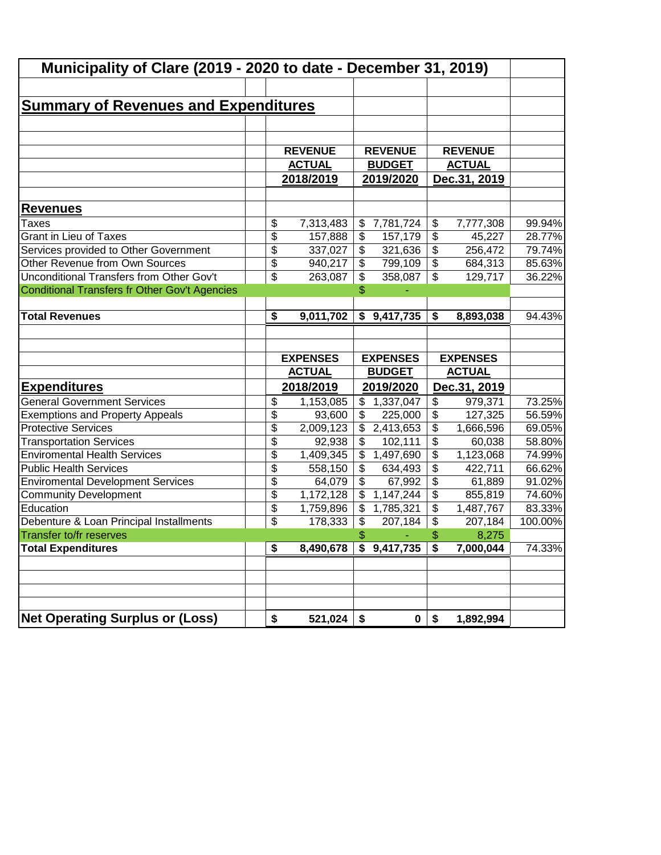| Municipality of Clare (2019 - 2020 to date - December 31, 2019) |          |                      |                                 |                        |                             |                     |         |
|-----------------------------------------------------------------|----------|----------------------|---------------------------------|------------------------|-----------------------------|---------------------|---------|
|                                                                 |          |                      |                                 |                        |                             |                     |         |
| <b>Summary of Revenues and Expenditures</b>                     |          |                      |                                 |                        |                             |                     |         |
|                                                                 |          |                      |                                 |                        |                             |                     |         |
|                                                                 |          |                      |                                 |                        |                             |                     |         |
|                                                                 |          | <b>REVENUE</b>       |                                 | <b>REVENUE</b>         |                             | <b>REVENUE</b>      |         |
|                                                                 |          | <b>ACTUAL</b>        |                                 | <b>BUDGET</b>          |                             | <b>ACTUAL</b>       |         |
|                                                                 |          | 2018/2019            |                                 | 2019/2020              |                             | Dec.31, 2019        |         |
| <b>Revenues</b>                                                 |          |                      |                                 |                        |                             |                     |         |
|                                                                 |          |                      |                                 |                        |                             |                     | 99.94%  |
| Taxes<br><b>Grant in Lieu of Taxes</b>                          | \$<br>\$ | 7,313,483<br>157,888 | \$<br>$\boldsymbol{\mathsf{S}}$ | 7,781,724<br>157,179   | \$<br>\$                    | 7,777,308<br>45,227 | 28.77%  |
| Services provided to Other Government                           | \$       | 337,027              | $\boldsymbol{\mathsf{S}}$       | 321,636                | \$                          | 256,472             | 79.74%  |
| Other Revenue from Own Sources                                  | \$       | 940,217              | \$                              | 799,109                | $\overline{\mathcal{L}}$    | 684,313             | 85.63%  |
| Unconditional Transfers from Other Gov't                        | \$       | 263,087              | \$                              | 358,087                | \$                          | 129,717             | 36.22%  |
| Conditional Transfers fr Other Gov't Agencies                   |          |                      | \$                              |                        |                             |                     |         |
|                                                                 |          |                      |                                 |                        |                             |                     |         |
| <b>Total Revenues</b>                                           | \$       | 9,011,702            | \$                              | 9,417,735              | \$                          | 8,893,038           | 94.43%  |
|                                                                 |          | <b>EXPENSES</b>      |                                 | <b>EXPENSES</b>        |                             | <b>EXPENSES</b>     |         |
|                                                                 |          | <b>ACTUAL</b>        |                                 | <b>BUDGET</b>          |                             | <b>ACTUAL</b>       |         |
| <b>Expenditures</b>                                             |          | 2018/2019            |                                 | 2019/2020              |                             | Dec.31, 2019        |         |
| <b>General Government Services</b>                              | \$       | 1,153,085            | $\$\$                           | 1,337,047              | \$                          | 979,371             | 73.25%  |
| <b>Exemptions and Property Appeals</b>                          | \$       | 93,600               | \$                              | 225,000                | \$                          | 127,325             | 56.59%  |
| <b>Protective Services</b>                                      | \$       | 2,009,123            | \$                              | 2,413,653              | \$                          | 1,666,596           | 69.05%  |
| <b>Transportation Services</b>                                  | \$       | 92,938               | \$                              | 102,111                | \$                          | 60,038              | 58.80%  |
| <b>Enviromental Health Services</b>                             | \$       | 1,409,345            | \$                              | 1,497,690              | \$                          | 1,123,068           | 74.99%  |
| <b>Public Health Services</b>                                   | \$       | 558,150              | \$                              | 634,493                | \$                          | 422,711             | 66.62%  |
| <b>Enviromental Development Services</b>                        | \$       | 64,079               | $\mathfrak{S}$                  | 67,992                 | \$                          | 61,889              | 91.02%  |
| <b>Community Development</b>                                    | \$       | 1,172,128            | \$                              | 1,147,244              | \$                          | 855,819             | 74.60%  |
| Education                                                       | \$       | 1,759,896            | $\mathfrak{F}$                  | 1,785,321              | $\overline{\mathcal{L}}$    | 1,487,767           | 83.33%  |
| Debenture & Loan Principal Installments                         | \$       | 178,333              | $\boldsymbol{\mathsf{\$}}$      | 207,184                | $\sqrt[6]{\frac{1}{2}}$     | 207,184             | 100.00% |
| Transfer to/fr reserves                                         |          |                      | \$                              |                        | \$                          | 8,275               |         |
| <b>Total Expenditures</b>                                       | \$       | 8,490,678            |                                 | $\overline{9,417,735}$ | $\overline{\boldsymbol{s}}$ | 7,000,044           | 74.33%  |
|                                                                 |          |                      |                                 |                        |                             |                     |         |
|                                                                 |          |                      |                                 |                        |                             |                     |         |
|                                                                 |          |                      |                                 |                        |                             |                     |         |
|                                                                 |          |                      |                                 |                        |                             |                     |         |
| <b>Net Operating Surplus or (Loss)</b>                          | \$       | 521,024              | \$                              | $\mathbf 0$            | \$                          | 1,892,994           |         |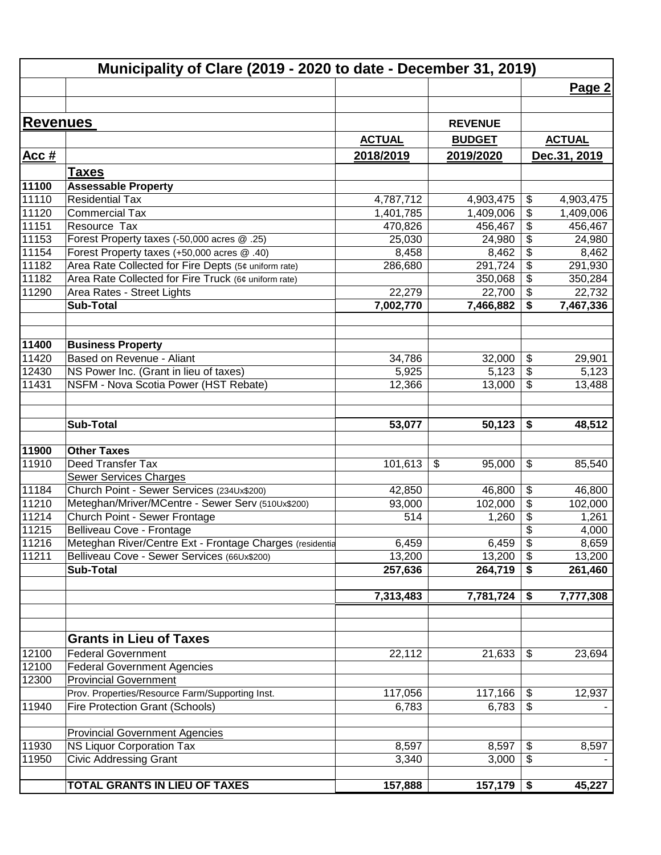|                 | Municipality of Clare (2019 - 2020 to date - December 31, 2019) |                      |                        |                                        |
|-----------------|-----------------------------------------------------------------|----------------------|------------------------|----------------------------------------|
|                 |                                                                 |                      |                        | Page 2                                 |
|                 |                                                                 |                      |                        |                                        |
| <b>Revenues</b> |                                                                 |                      | <b>REVENUE</b>         |                                        |
|                 |                                                                 | <b>ACTUAL</b>        | <b>BUDGET</b>          | <b>ACTUAL</b>                          |
| Acc $#$         |                                                                 | 2018/2019            | 2019/2020              | Dec.31, 2019                           |
|                 |                                                                 |                      |                        |                                        |
|                 | <u>Taxes</u>                                                    |                      |                        |                                        |
| 11100           | <b>Assessable Property</b><br><b>Residential Tax</b>            |                      |                        |                                        |
| 11110<br>11120  | <b>Commercial Tax</b>                                           | 4,787,712            | 4,903,475<br>1,409,006 | \$<br>4,903,475                        |
| 11151           | Resource Tax                                                    | 1,401,785<br>470,826 | 456,467                | \$<br>1,409,006<br>456,467             |
| 11153           | Forest Property taxes (-50,000 acres @ .25)                     | 25,030               | 24,980                 | \$<br>\$<br>24,980                     |
| 11154           | Forest Property taxes (+50,000 acres @ .40)                     | 8,458                | 8,462                  | \$<br>8,462                            |
| 11182           | Area Rate Collected for Fire Depts (5¢ uniform rate)            | 286,680              | 291,724                | $\overline{\$}$<br>291,930             |
| 11182           | Area Rate Collected for Fire Truck (6¢ uniform rate)            |                      | 350,068                | \$<br>350,284                          |
| 11290           | Area Rates - Street Lights                                      | 22,279               | 22,700                 | $\overline{\mathbf{S}}$<br>22,732      |
|                 | <b>Sub-Total</b>                                                | 7,002,770            | 7,466,882              | \$<br>7,467,336                        |
|                 |                                                                 |                      |                        |                                        |
|                 |                                                                 |                      |                        |                                        |
| 11400           | <b>Business Property</b>                                        |                      |                        |                                        |
| 11420           | Based on Revenue - Aliant                                       | 34,786               | 32,000                 | \$<br>29,901                           |
| 12430           | NS Power Inc. (Grant in lieu of taxes)                          | 5,925                | 5,123                  | $\overline{\$}$<br>5,123               |
| 11431           | NSFM - Nova Scotia Power (HST Rebate)                           | 12,366               | 13,000                 | $\overline{\mathbf{S}}$<br>13,488      |
|                 |                                                                 |                      |                        |                                        |
|                 |                                                                 |                      |                        |                                        |
|                 | <b>Sub-Total</b>                                                | 53,077               | 50,123                 | \$<br>48,512                           |
|                 |                                                                 |                      |                        |                                        |
| 11900           | <b>Other Taxes</b>                                              |                      |                        |                                        |
| 11910           | Deed Transfer Tax                                               | 101,613              | \$<br>95,000           | \$<br>85,540                           |
|                 | <b>Sewer Services Charges</b>                                   |                      |                        |                                        |
| 11184           | Church Point - Sewer Services (234Ux\$200)                      | 42,850               | 46,800                 | \$<br>46,800                           |
| 11210           | Meteghan/Mriver/MCentre - Sewer Serv (510Ux\$200)               | 93,000               | 102,000                | $\overline{\mathbf{G}}$<br>102,000     |
| 11214           | Church Point - Sewer Frontage                                   | 514                  | 1,260                  | $\overline{\mathbf{S}}$<br>1,261       |
| 11215           | Belliveau Cove - Frontage                                       |                      |                        | \$<br>4,000                            |
| 11216           | Meteghan River/Centre Ext - Frontage Charges (residentia        | 6,459                | $6,459$ \$             | 8,659                                  |
| 11211           | Belliveau Cove - Sewer Services (66Ux\$200)                     | 13,200               | 13,200                 | $\sqrt[6]{\frac{1}{2}}$<br>13,200      |
|                 | <b>Sub-Total</b>                                                | 257,636              | 264,719                | 261,460<br>\$                          |
|                 |                                                                 | 7,313,483            | 7,781,724              | \$<br>7,777,308                        |
|                 |                                                                 |                      |                        |                                        |
|                 |                                                                 |                      |                        |                                        |
|                 | <b>Grants in Lieu of Taxes</b>                                  |                      |                        |                                        |
| 12100           | <b>Federal Government</b>                                       | 22,112               | 21,633                 | 23,694<br>\$                           |
| 12100           | <b>Federal Government Agencies</b>                              |                      |                        |                                        |
| 12300           | <b>Provincial Government</b>                                    |                      |                        |                                        |
|                 | Prov. Properties/Resource Farm/Supporting Inst.                 | 117,056              | 117,166                | $\boldsymbol{\hat{\varphi}}$<br>12,937 |
| 11940           | <b>Fire Protection Grant (Schools)</b>                          | 6,783                | 6,783                  | \$                                     |
|                 |                                                                 |                      |                        |                                        |
|                 | <b>Provincial Government Agencies</b>                           |                      |                        |                                        |
| 11930           | <b>NS Liquor Corporation Tax</b>                                | 8,597                | 8,597                  | \$<br>8,597                            |
| 11950           | <b>Civic Addressing Grant</b>                                   | 3,340                | 3,000                  | \$                                     |
|                 |                                                                 |                      |                        |                                        |
|                 | TOTAL GRANTS IN LIEU OF TAXES                                   | 157,888              | 157,179                | 45,227<br>\$                           |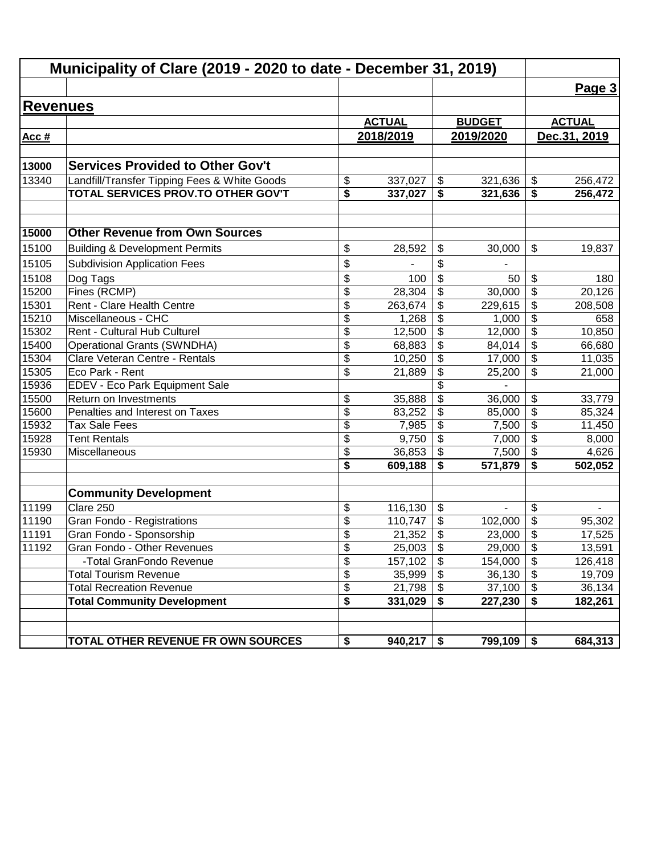| Municipality of Clare (2019 - 2020 to date - December 31, 2019) |                                                         |                      |                 |                                        |                |                                                     |                |
|-----------------------------------------------------------------|---------------------------------------------------------|----------------------|-----------------|----------------------------------------|----------------|-----------------------------------------------------|----------------|
|                                                                 |                                                         |                      |                 |                                        |                |                                                     | Page 3         |
| <b>Revenues</b>                                                 |                                                         |                      |                 |                                        |                |                                                     |                |
|                                                                 |                                                         |                      | <b>ACTUAL</b>   |                                        | <b>BUDGET</b>  |                                                     | <b>ACTUAL</b>  |
| Acc $#$                                                         |                                                         |                      | 2018/2019       |                                        | 2019/2020      |                                                     | Dec.31, 2019   |
|                                                                 |                                                         |                      |                 |                                        |                |                                                     |                |
| 13000                                                           | <b>Services Provided to Other Gov't</b>                 |                      |                 |                                        |                |                                                     |                |
| 13340                                                           | Landfill/Transfer Tipping Fees & White Goods            | \$                   | 337,027         | \$                                     | 321,636        | \$                                                  | 256,472        |
|                                                                 | <b>TOTAL SERVICES PROV.TO OTHER GOV'T</b>               | \$                   | 337,027         | \$                                     | 321,636        | \$                                                  | 256,472        |
| 15000                                                           | <b>Other Revenue from Own Sources</b>                   |                      |                 |                                        |                |                                                     |                |
| 15100                                                           |                                                         | \$                   | 28,592          | \$                                     | 30,000         | \$                                                  | 19,837         |
|                                                                 | <b>Building &amp; Development Permits</b>               |                      |                 |                                        |                |                                                     |                |
| 15105                                                           | <b>Subdivision Application Fees</b>                     | \$                   |                 | \$                                     |                |                                                     |                |
| 15108                                                           | Dog Tags                                                | \$                   | 100             | \$                                     | 50             | \$                                                  | 180            |
| 15200                                                           | Fines (RCMP)<br>Rent - Clare Health Centre              | \$                   | 28,304          | \$                                     | 30,000         | $\overline{\mathbf{S}}$                             | 20,126         |
| 15301                                                           |                                                         | \$                   | 263,674         | \$                                     | 229,615        | \$                                                  | 208,508        |
| 15210                                                           | Miscellaneous - CHC                                     | \$                   | 1,268           | $\frac{1}{2}$                          | 1,000          | $\overline{\mathbf{S}}$                             | 658            |
| 15302                                                           | Rent - Cultural Hub Culturel                            | \$                   | 12,500          | $\frac{1}{2}$                          | 12,000         | $\overline{\boldsymbol{\theta}}$                    | 10,850         |
| 15400                                                           | <b>Operational Grants (SWNDHA)</b>                      | \$                   | 68,883          | $\overline{\boldsymbol{\theta}}$       | 84,014         | $\overline{\boldsymbol{\theta}}$                    | 66,680         |
| 15304                                                           | Clare Veteran Centre - Rentals<br>Eco Park - Rent       | \$                   | 10,250          | \$<br>$\overline{\boldsymbol{\theta}}$ | 17,000         | $\overline{\mathcal{G}}$<br>$\overline{\mathbf{S}}$ | 11,035         |
| 15305<br>15936                                                  |                                                         | \$                   | 21,889          | \$                                     | 25,200         |                                                     | 21,000         |
| 15500                                                           | EDEV - Eco Park Equipment Sale<br>Return on Investments |                      |                 | $\overline{\$}$                        |                |                                                     |                |
|                                                                 |                                                         | \$                   | 35,888          |                                        | 36,000         | \$<br>$\overline{\$}$                               | 33,779         |
| 15600                                                           | Penalties and Interest on Taxes                         | $\overline{\$}$      | 83,252          | \$<br>$\overline{\$}$                  | 85,000         | $\overline{\$}$                                     | 85,324         |
| 15932<br>15928                                                  | <b>Tax Sale Fees</b><br><b>Tent Rentals</b>             | $\overline{\$}$      | 7,985           | $\overline{\mathcal{S}}$               | 7,500          | $\overline{\mathcal{L}}$                            | 11,450         |
| 15930                                                           | Miscellaneous                                           | $\overline{\$}$      | 9,750<br>36,853 | \$                                     | 7,000<br>7,500 | \$                                                  | 8,000<br>4,626 |
|                                                                 |                                                         | \$<br>\$             | 609,188         | \$                                     | 571,879        | \$                                                  | 502,052        |
|                                                                 |                                                         |                      |                 |                                        |                |                                                     |                |
|                                                                 | <b>Community Development</b>                            |                      |                 |                                        |                |                                                     |                |
| 11199                                                           | Clare 250                                               | \$                   | 116,130         | $\frac{1}{2}$                          | ä,             | \$                                                  |                |
| 11190                                                           | Gran Fondo - Registrations                              | \$                   | 110,747         | \$                                     | 102,000        | \$                                                  | 95,302         |
| 11191                                                           | Gran Fondo - Sponsorship                                | \$                   | 21,352          | \$                                     | 23,000         | $\overline{\mathbf{S}}$                             | 17,525         |
| 11192                                                           | Gran Fondo - Other Revenues                             | \$                   | 25,003          | $\boldsymbol{\mathsf{S}}$              | 29,000         | $\boldsymbol{\mathsf{S}}$                           | 13,591         |
|                                                                 | -Total GranFondo Revenue                                | $\overline{\$}$      | 157,102         | $\overline{\boldsymbol{\theta}}$       | 154,000        | \$                                                  | 126,418        |
|                                                                 | <b>Total Tourism Revenue</b>                            | \$                   | 35,999          | $\boldsymbol{\theta}$                  | 36,130         | $\overline{\mathbf{e}}$                             | 19,709         |
|                                                                 | <b>Total Recreation Revenue</b>                         | \$                   | 21,798          | $\boldsymbol{\theta}$                  | 37,100         | \$                                                  | 36,134         |
|                                                                 | <b>Total Community Development</b>                      | $\overline{\bullet}$ | 331,029         | \$                                     | 227,230        | \$                                                  | 182,261        |
|                                                                 | TOTAL OTHER REVENUE FR OWN SOURCES                      | \$                   | 940,217         | \$                                     | 799,109        | \$                                                  | 684,313        |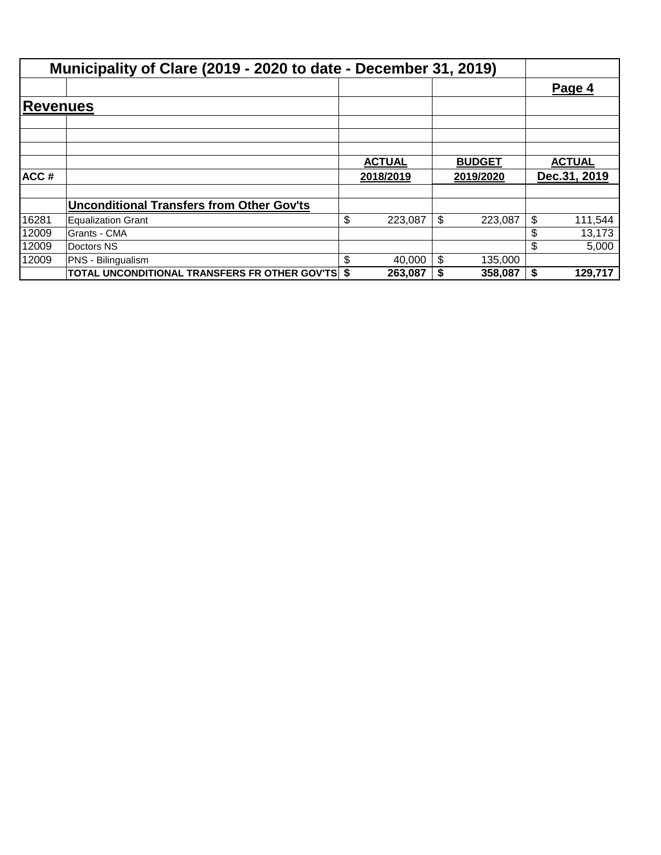|                  | Municipality of Clare (2019 - 2020 to date - December 31, 2019) |               |               |    |               |
|------------------|-----------------------------------------------------------------|---------------|---------------|----|---------------|
|                  |                                                                 |               |               |    | Page 4        |
| Reve <u>nues</u> |                                                                 |               |               |    |               |
|                  |                                                                 |               |               |    |               |
|                  |                                                                 |               |               |    |               |
|                  |                                                                 | <b>ACTUAL</b> | <b>BUDGET</b> |    | <b>ACTUAL</b> |
| ACC#             |                                                                 | 2018/2019     | 2019/2020     |    | Dec.31, 2019  |
|                  | <b>Unconditional Transfers from Other Gov'ts</b>                |               |               |    |               |
| 16281            | Equalization Grant                                              | \$<br>223,087 | \$<br>223,087 | \$ | 111,544       |
| 12009            | Grants - CMA                                                    |               |               | \$ | 13,173        |
| 12009            | Doctors NS                                                      |               |               | \$ | 5,000         |
| 12009            | PNS - Bilingualism                                              | \$<br>40,000  | \$<br>135,000 |    |               |
|                  | TOTAL UNCONDITIONAL TRANSFERS FR OTHER GOV'TS \$                | 263,087       | 358,087       | S. | 129,717       |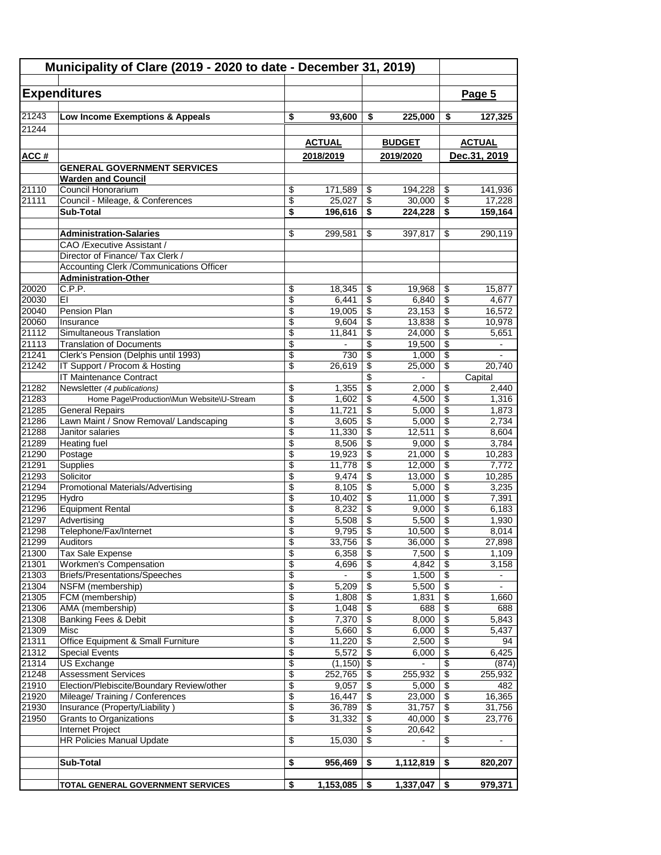|                    | <b>Expenditures</b>                                                   |          |                         |                                        |                         |                                | Page 5         |
|--------------------|-----------------------------------------------------------------------|----------|-------------------------|----------------------------------------|-------------------------|--------------------------------|----------------|
| 21243              | Low Income Exemptions & Appeals                                       | \$       | 93,600                  | \$                                     | 225,000                 | \$                             | 127,325        |
| 21244              |                                                                       |          |                         |                                        |                         |                                |                |
|                    |                                                                       |          | <b>ACTUAL</b>           |                                        | <b>BUDGET</b>           | <b>ACTUAL</b>                  |                |
| ACC#               |                                                                       |          | 2018/2019               |                                        | 2019/2020               |                                | Dec.31, 2019   |
|                    | <b>GENERAL GOVERNMENT SERVICES</b>                                    |          |                         |                                        |                         |                                |                |
|                    | <b>Warden and Council</b>                                             |          |                         |                                        |                         |                                |                |
| $\overline{21110}$ | Council Honorarium                                                    | \$       | 171,589                 | \$                                     | 194,228                 | \$                             | 141,936        |
| 21111              | Council - Mileage, & Conferences<br>Sub-Total                         | \$<br>\$ | 25,027                  | \$                                     | 30,000                  | \$                             | 17.228         |
|                    |                                                                       |          | 196,616                 | \$                                     | 224,228                 | \$                             | 159,164        |
|                    | <b>Administration-Salaries</b>                                        | \$       | 299,581                 | \$                                     | 397,817                 | \$                             | 290,119        |
|                    | CAO /Executive Assistant /                                            |          |                         |                                        |                         |                                |                |
|                    | Director of Finance/ Tax Clerk /                                      |          |                         |                                        |                         |                                |                |
|                    | <b>Accounting Clerk /Communications Officer</b>                       |          |                         |                                        |                         |                                |                |
|                    | <b>Administration-Other</b>                                           |          |                         |                                        |                         |                                |                |
| 20020              | C.P.P.                                                                | \$       | 18,345                  | \$                                     | 19,968                  | \$                             | 15,877         |
| 20030              | EI                                                                    | \$       | 6,441                   | \$                                     | 6,840                   | \$                             | 4,677          |
| 20040              | Pension Plan                                                          | \$       | 19,005                  | \$                                     | 23,153                  | \$                             | 16,572         |
| 20060              | Insurance                                                             | \$       | 9,604                   | \$                                     | 13,838                  | \$                             | 10,978         |
| 21112              | Simultaneous Translation                                              | \$       | 11,841                  | \$                                     | 24,000                  | \$                             | 5,651          |
| 21113<br>21241     | <b>Translation of Documents</b>                                       | \$       | 730                     | \$                                     | 19,500                  | \$<br>\$                       |                |
| 21242              | Clerk's Pension (Delphis until 1993)<br>IT Support / Procom & Hosting | \$<br>\$ | 26,619                  | \$<br>\$                               | 1,000<br>25,000         | \$                             | 20,740         |
|                    | <b>IT Maintenance Contract</b>                                        |          |                         | \$                                     |                         |                                | Capital        |
| 21282              | Newsletter (4 publications)                                           | \$       | 1,355                   | \$                                     | 2,000                   | \$                             | 2,440          |
| 21283              | Home Page\Production\Mun Website\U-Stream                             | \$       | 1,602                   | \$                                     | 4,500                   | \$                             | 1,316          |
| 21285              | <b>General Repairs</b>                                                | \$       | 11,721                  | \$                                     | 5,000                   | \$                             | 1,873          |
| 21286              | Lawn Maint / Snow Removal/ Landscaping                                | \$       | 3,605                   | \$                                     | 5,000                   | \$                             | 2,734          |
| 21288              | Janitor salaries                                                      | \$       | 11,330                  | \$                                     | 12,511                  | \$                             | 8,604          |
| 21289              | <b>Heating fuel</b>                                                   | \$       | 8,506                   | \$                                     | 9,000                   | \$                             | 3,784          |
| 21290              | Postage                                                               | \$       | 19,923                  | \$                                     | 21,000                  | \$                             | 10,283         |
| 21291              | Supplies                                                              | \$       | 11,778                  | \$                                     | 12,000                  | \$                             | 7,772          |
| 21293              | Solicitor                                                             | \$       | 9,474                   | \$                                     | 13,000                  | \$                             | 10,285         |
| 21294              | <b>Promotional Materials/Advertising</b>                              | \$       | 8,105                   | \$                                     | 5,000                   | \$                             | 3,235          |
| 21295              | Hydro                                                                 | \$       | 10,402                  | \$                                     | 11,000                  | \$                             | 7,391          |
| 21296              | <b>Equipment Rental</b><br>Advertising                                | \$       | 8,232                   | \$<br>$\overline{\mathbf{e}}$          | 9,000                   | \$                             | 6,183          |
| 21297<br>21298     | Telephone/Fax/Internet                                                | \$<br>\$ | 5,508<br>$9,795$ \$     |                                        | 5,500<br>10,500         | \$<br>$\overline{\mathcal{L}}$ | 1,930<br>8,014 |
| 21299              | <b>Auditors</b>                                                       | \$       | 33,756                  | $\sqrt{3}$                             | 36,000                  | \$                             | 27,898         |
| 21300              | Tax Sale Expense                                                      | \$       | 6,358                   | $\sqrt{3}$                             | 7,500                   | \$                             | 1,109          |
| 21301              | Workmen's Compensation                                                | \$       | 4,696                   | $\overline{\$}$                        | 4,842                   | \$                             | 3,158          |
| 21303              | <b>Briefs/Presentations/Speeches</b>                                  | \$       | $\blacksquare$          | \$                                     | 1,500                   | \$                             | $\blacksquare$ |
| 21304              | NSFM (membership)                                                     | \$       | 5,209                   | \$                                     | 5,500                   | \$                             | $\blacksquare$ |
| 21305              | FCM (membership)                                                      | \$       | 1,808                   | $\overline{\boldsymbol{\mathfrak{s}}}$ | 1,831                   | \$                             | 1,660          |
| 21306              | AMA (membership)                                                      | \$       | 1,048                   | \$                                     | 688                     | \$                             | 688            |
| 21308              | Banking Fees & Debit                                                  | \$       | 7,370                   | \$                                     | 8,000                   | \$                             | 5,843          |
| 21309              | Misc                                                                  | \$       | 5,660                   | \$                                     | 6,000                   | \$                             | 5,437          |
| 21311              | Office Equipment & Small Furniture                                    | \$       | 11,220                  | \$                                     | 2,500                   | \$                             | 94             |
| 21312              | <b>Special Events</b>                                                 | \$       | 5,572                   | \$                                     | 6,000<br>$\blacksquare$ | \$                             | 6,425<br>(874) |
| 21314<br>21248     | <b>US Exchange</b><br><b>Assessment Services</b>                      | \$<br>\$ | $(1,150)$ \$<br>252,765 | \$                                     | 255,932                 | \$<br>\$                       | 255,932        |
| 21910              | Election/Plebiscite/Boundary Review/other                             | \$       | 9,057                   | \$                                     | 5,000                   | \$                             | 482            |
| 21920              | Mileage/ Training / Conferences                                       | \$       | 16,447                  | \$                                     | 23,000                  | \$                             | 16,365         |
| 21930              | Insurance (Property/Liability)                                        | \$       | 36,789                  | \$                                     | 31,757                  | \$                             | 31,756         |
| 21950              | <b>Grants to Organizations</b>                                        | \$       | 31,332                  | \$                                     | 40,000                  | \$                             | 23,776         |
|                    | Internet Project                                                      |          |                         | \$                                     | 20,642                  |                                |                |
|                    | <b>HR Policies Manual Update</b>                                      | \$       | 15,030                  | \$                                     | $\blacksquare$          | \$                             |                |
|                    |                                                                       |          |                         |                                        |                         |                                |                |
|                    | <b>Sub-Total</b>                                                      | \$       | 956,469                 | \$                                     | 1,112,819               | \$                             | 820,207        |
|                    | TOTAL GENERAL GOVERNMENT SERVICES                                     | \$       | 1,153,085               |                                        |                         |                                | 979,371        |
|                    |                                                                       |          |                         | \$                                     | 1,337,047               | \$                             |                |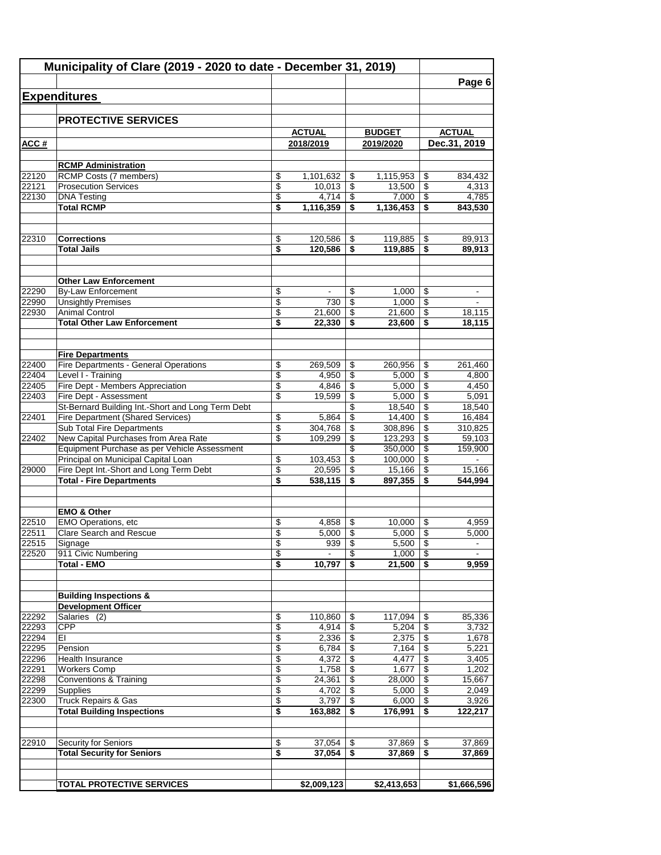| Municipality of Clare (2019 - 2020 to date - December 31, 2019) |                                                                  |          |                  |                         |                  |          |                          |
|-----------------------------------------------------------------|------------------------------------------------------------------|----------|------------------|-------------------------|------------------|----------|--------------------------|
|                                                                 |                                                                  |          |                  |                         |                  |          | Page 6                   |
|                                                                 | <b>Expenditures</b>                                              |          |                  |                         |                  |          |                          |
|                                                                 |                                                                  |          |                  |                         |                  |          |                          |
|                                                                 | <b>PROTECTIVE SERVICES</b>                                       |          |                  |                         |                  |          |                          |
|                                                                 |                                                                  |          | <b>ACTUAL</b>    |                         | <b>BUDGET</b>    |          | <b>ACTUAL</b>            |
| ACC#                                                            |                                                                  |          | 2018/2019        |                         | 2019/2020        |          | Dec.31, 2019             |
|                                                                 | <b>RCMP Administration</b>                                       |          |                  |                         |                  |          |                          |
| 22120                                                           | <b>RCMP Costs (7 members)</b>                                    | \$       | 1,101,632        | -\$                     | 1,115,953        | \$       | 834,432                  |
| 22121                                                           | <b>Prosecution Services</b>                                      | \$       | 10,013           | \$                      | 13,500           | \$       | 4,313                    |
| 22130                                                           | <b>DNA Testing</b>                                               | \$       | 4.714            | \$                      | 7.000            | \$       | 4,785                    |
|                                                                 | <b>Total RCMP</b>                                                | \$       | 1,116,359        | \$                      | 1,136,453        | \$       | 843,530                  |
|                                                                 |                                                                  |          |                  |                         |                  |          |                          |
| 22310                                                           | <b>Corrections</b>                                               | \$       | 120,586          | \$                      | 119,885          | \$       | 89,913                   |
|                                                                 | <b>Total Jails</b>                                               | \$       | 120,586          | \$                      | 119,885          | \$       | 89,913                   |
|                                                                 | <b>Other Law Enforcement</b>                                     |          |                  |                         |                  |          |                          |
| 22290                                                           | <b>By-Law Enforcement</b>                                        | \$       |                  | \$                      | 1,000            | \$       |                          |
| 22990                                                           | <b>Unsightly Premises</b>                                        | \$       | 730              | \$                      | 1.000            | \$       |                          |
| 22930                                                           | <b>Animal Control</b>                                            | \$       | 21,600           | \$                      | 21,600           | \$       | 18,115                   |
|                                                                 | <b>Total Other Law Enforcement</b>                               | \$       | 22,330           | \$                      | 23,600           | \$       | 18,115                   |
|                                                                 |                                                                  |          |                  |                         |                  |          |                          |
| 22400                                                           | <b>Fire Departments</b><br>Fire Departments - General Operations | \$       |                  | \$                      |                  |          |                          |
| 22404                                                           | Level I - Training                                               | \$       | 269,509<br>4,950 | \$                      | 260,956<br>5,000 | \$<br>\$ | 261,460<br>4,800         |
| 22405                                                           | Fire Dept - Members Appreciation                                 | \$       | 4,846            | \$                      | 5,000            | \$       | 4,450                    |
| 22403                                                           | Fire Dept - Assessment                                           | \$       | 19,599           | \$                      | 5,000            | \$       | 5,091                    |
|                                                                 | St-Bernard Building Int.-Short and Long Term Debt                |          |                  | \$                      | 18,540           | \$       | 18,540                   |
| 22401                                                           | Fire Department (Shared Services)                                | \$       | 5,864            | \$                      | 14,400           | \$       | 16,484                   |
|                                                                 | Sub Total Fire Departments                                       | \$       | 304,768          | \$                      | 308,896          | \$       | 310,825                  |
| 22402                                                           | New Capital Purchases from Area Rate                             | \$       | 109,299          | \$                      | 123,293          | \$       | 59,103                   |
|                                                                 | Equipment Purchase as per Vehicle Assessment                     |          |                  | \$                      | 350,000          | \$       | 159,900                  |
|                                                                 | Principal on Municipal Capital Loan                              | \$       | 103,453          | \$                      | 100,000          | \$       |                          |
| 29000                                                           | Fire Dept Int.-Short and Long Term Debt                          | \$       | 20,595           | \$                      | 15,166           | \$       | 15,166                   |
|                                                                 | <b>Total - Fire Departments</b>                                  | \$       | 538,115          | \$                      | 897,355          | \$       | 544.994                  |
|                                                                 | <b>EMO &amp; Other</b>                                           |          |                  |                         |                  |          |                          |
| 22510                                                           | EMO Operations, etc                                              | \$       | 4,858            | \$                      | 10,000           | \$       | 4,959                    |
| 22511                                                           | <b>Clare Search and Rescue</b>                                   | \$       | 5,000            | \$                      | 5,000            | \$       | 5,000                    |
| 22515                                                           | Signage                                                          | \$       | 939              | $\sqrt[6]{\frac{1}{2}}$ | $5,500$ \$       |          |                          |
| 22520                                                           | 911 Civic Numbering                                              | \$       | $\blacksquare$   | \$                      | 1,000            | \$       | $\overline{\phantom{a}}$ |
|                                                                 | <b>Total - EMO</b>                                               | \$       | 10,797           | - \$                    | 21,500           | - \$     | 9,959                    |
|                                                                 |                                                                  |          |                  |                         |                  |          |                          |
|                                                                 | <b>Building Inspections &amp;</b><br><b>Development Officer</b>  |          |                  |                         |                  |          |                          |
| 22292                                                           | Salaries (2)                                                     | \$       | 110,860          | \$                      | 117,094          | \$       | 85,336                   |
| 22293                                                           | <b>CPP</b>                                                       | \$       | 4,914            | \$                      | 5,204            | \$       | 3,732                    |
| 22294                                                           | EI                                                               | \$       | 2,336            | \$                      | 2,375            | \$       | 1,678                    |
| 22295                                                           | Pension                                                          | \$       | 6,784            | \$                      | 7,164            | \$       | 5,221                    |
| 22296                                                           | Health Insurance                                                 | \$       | 4,372            | -\$                     | 4,477            | \$       | 3,405                    |
| 22291                                                           | <b>Workers Comp</b>                                              | \$       | 1,758            | \$                      | 1,677            | \$       | 1,202                    |
| 22298                                                           | <b>Conventions &amp; Training</b>                                | \$       | 24,361           | \$                      | 28,000           | \$       | 15,667                   |
| 22299                                                           | Supplies                                                         | \$       | 4,702            | \$                      | 5,000            | \$       | 2,049                    |
| 22300                                                           | Truck Repairs & Gas<br><b>Total Building Inspections</b>         | \$<br>\$ | 3,797            | \$<br>\$                | 6,000            | \$<br>\$ | 3,926                    |
|                                                                 |                                                                  |          | 163,882          |                         | 176,991          |          | 122,217                  |
| 22910                                                           | Security for Seniors                                             | \$       | 37,054           | S                       | 37,869           | \$       | 37,869                   |
|                                                                 | <b>Total Security for Seniors</b>                                | \$       | 37,054           | \$                      | 37,869           | \$       | 37,869                   |
|                                                                 |                                                                  |          |                  |                         |                  |          |                          |
|                                                                 | <b>TOTAL PROTECTIVE SERVICES</b>                                 |          | \$2,009,123      |                         | \$2,413,653      |          | \$1,666,596              |
|                                                                 |                                                                  |          |                  |                         |                  |          |                          |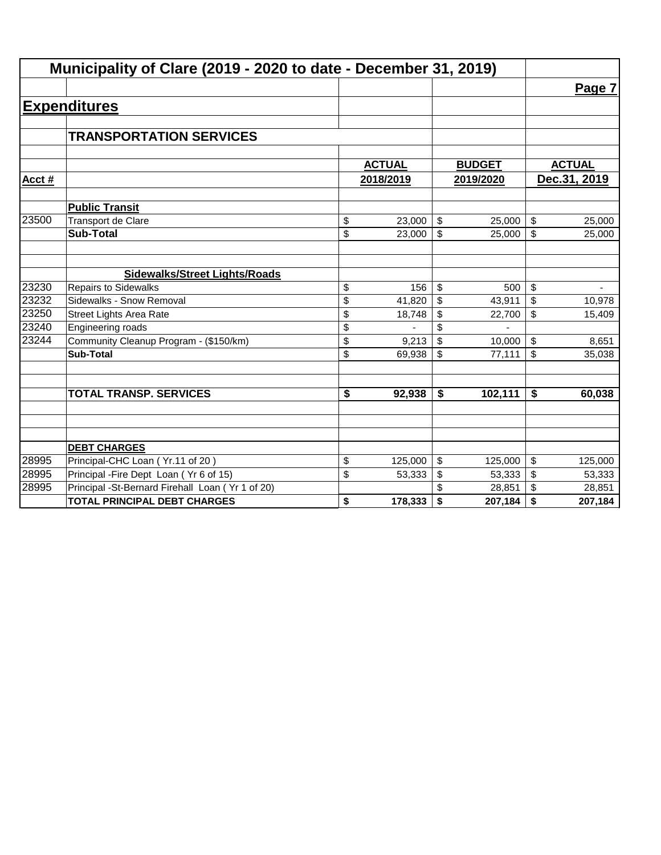| Municipality of Clare (2019 - 2020 to date - December 31, 2019) |                                                  |           |               |                         |               |                           |               |
|-----------------------------------------------------------------|--------------------------------------------------|-----------|---------------|-------------------------|---------------|---------------------------|---------------|
|                                                                 |                                                  |           |               |                         |               |                           | Page 7        |
|                                                                 | <b>Expenditures</b>                              |           |               |                         |               |                           |               |
|                                                                 |                                                  |           |               |                         |               |                           |               |
|                                                                 | <b>TRANSPORTATION SERVICES</b>                   |           |               |                         |               |                           |               |
|                                                                 |                                                  |           |               |                         |               |                           |               |
|                                                                 |                                                  |           | <b>ACTUAL</b> |                         | <b>BUDGET</b> |                           | <b>ACTUAL</b> |
| Acct#                                                           |                                                  | 2018/2019 |               | 2019/2020               |               |                           | Dec.31, 2019  |
|                                                                 | <b>Public Transit</b>                            |           |               |                         |               |                           |               |
| 23500                                                           | <b>Transport de Clare</b>                        | \$        | 23,000        | $\sqrt[6]{\frac{1}{2}}$ | 25,000        | $\boldsymbol{\mathsf{S}}$ | 25,000        |
|                                                                 | <b>Sub-Total</b>                                 | \$        | 23,000        | \$                      | 25,000        | \$                        | 25,000        |
|                                                                 |                                                  |           |               |                         |               |                           |               |
|                                                                 | <b>Sidewalks/Street Lights/Roads</b>             |           |               |                         |               |                           |               |
| 23230                                                           | <b>Repairs to Sidewalks</b>                      | \$        | 156           | \$                      | 500           | \$                        |               |
| 23232                                                           | Sidewalks - Snow Removal                         | \$        | 41,820        | \$                      | 43,911        | \$                        | 10,978        |
| 23250                                                           | Street Lights Area Rate                          | \$        | 18,748        | \$                      | 22,700        | \$                        | 15,409        |
| 23240                                                           | Engineering roads                                | \$        |               | \$                      |               |                           |               |
| 23244                                                           | Community Cleanup Program - (\$150/km)           | \$        | 9,213         | \$                      | 10,000        | \$                        | 8,651         |
|                                                                 | <b>Sub-Total</b>                                 | \$        | 69,938        | \$                      | 77,111        | \$                        | 35,038        |
|                                                                 |                                                  |           |               |                         |               |                           |               |
|                                                                 | <b>TOTAL TRANSP. SERVICES</b>                    | \$        | 92,938        | \$                      | 102,111       | \$                        | 60,038        |
|                                                                 |                                                  |           |               |                         |               |                           |               |
|                                                                 |                                                  |           |               |                         |               |                           |               |
|                                                                 | <b>DEBT CHARGES</b>                              |           |               |                         |               |                           |               |
| 28995                                                           | Principal-CHC Loan (Yr.11 of 20)                 | \$        | 125,000       | \$                      | 125,000       | \$                        | 125,000       |
| 28995                                                           | Principal - Fire Dept Loan (Yr 6 of 15)          | \$        | 53,333        | \$                      | 53,333        | \$                        | 53,333        |
| 28995                                                           | Principal -St-Bernard Firehall Loan (Yr 1 of 20) |           |               |                         | 28,851        | \$                        | 28,851        |
|                                                                 | <b>TOTAL PRINCIPAL DEBT CHARGES</b>              | \$        | 178,333       | \$                      | 207,184       | \$                        | 207,184       |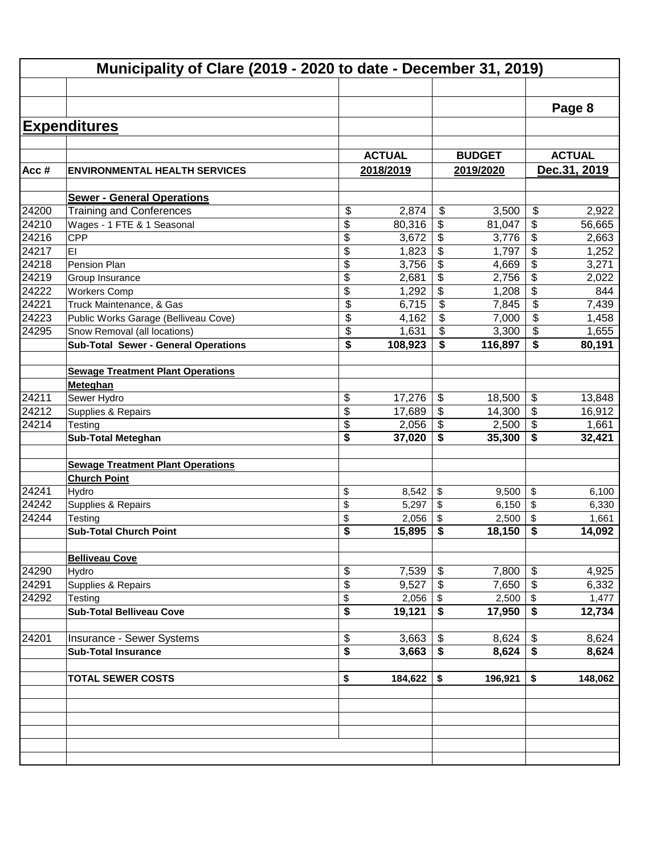|                | Municipality of Clare (2019 - 2020 to date - December 31, 2019) |          |               |                                        |               |                       |               |  |  |  |
|----------------|-----------------------------------------------------------------|----------|---------------|----------------------------------------|---------------|-----------------------|---------------|--|--|--|
|                |                                                                 |          |               |                                        |               |                       |               |  |  |  |
|                |                                                                 |          |               |                                        |               |                       | Page 8        |  |  |  |
|                | <b>Expenditures</b>                                             |          |               |                                        |               |                       |               |  |  |  |
|                |                                                                 |          |               |                                        |               |                       |               |  |  |  |
|                |                                                                 |          | <b>ACTUAL</b> |                                        | <b>BUDGET</b> |                       | <b>ACTUAL</b> |  |  |  |
| Acc#           | <b>ENVIRONMENTAL HEALTH SERVICES</b>                            |          | 2018/2019     |                                        | 2019/2020     |                       | Dec.31, 2019  |  |  |  |
|                | <b>Sewer - General Operations</b>                               |          |               |                                        |               |                       |               |  |  |  |
| 24200          | <b>Training and Conferences</b>                                 | \$       | 2,874         | \$                                     | 3,500         | \$                    | 2,922         |  |  |  |
| 24210          | Wages - 1 FTE & 1 Seasonal                                      | \$       | 80,316        | \$                                     | 81,047        | \$                    | 56,665        |  |  |  |
| 24216          | <b>CPP</b>                                                      | \$       | 3,672         | \$                                     | 3,776         | \$                    | 2,663         |  |  |  |
| 24217          | EI                                                              | \$       | 1,823         | \$                                     | 1,797         | \$                    | 1,252         |  |  |  |
| 24218          | Pension Plan                                                    | \$       | 3,756         | \$                                     | 4,669         | \$                    | 3,271         |  |  |  |
| 24219          | Group Insurance                                                 | \$       | 2,681         | \$                                     | 2,756         | \$                    | 2,022         |  |  |  |
| 24222          | <b>Workers Comp</b>                                             | \$       | 1,292         | \$                                     | 1,208         | \$                    | 844           |  |  |  |
| 24221          | Truck Maintenance, & Gas                                        | \$       | 6,715         | $\overline{\$}$                        | 7,845         | \$                    | 7,439         |  |  |  |
| 24223          | Public Works Garage (Belliveau Cove)                            | \$       | 4,162         | \$                                     | 7,000         | \$                    | 1,458         |  |  |  |
| 24295          | Snow Removal (all locations)                                    | \$       | 1,631         | $\boldsymbol{\mathsf{S}}$              | 3,300         | \$                    | 1,655         |  |  |  |
|                | <b>Sub-Total Sewer - General Operations</b>                     | \$       | 108,923       | $\overline{\boldsymbol{\mathfrak{s}}}$ | 116,897       | \$                    | 80,191        |  |  |  |
|                |                                                                 |          |               |                                        |               |                       |               |  |  |  |
|                | <b>Sewage Treatment Plant Operations</b>                        |          |               |                                        |               |                       |               |  |  |  |
|                | Meteghan                                                        |          |               |                                        |               |                       |               |  |  |  |
| 24211          | Sewer Hydro                                                     | \$       | 17,276        | \$                                     | 18,500        | \$                    | 13,848        |  |  |  |
| $\sqrt{24212}$ | Supplies & Repairs                                              | \$       | 17,689        | $\overline{\$}$                        | 14,300        | \$                    | 16,912        |  |  |  |
| 24214          | Testing                                                         | \$<br>\$ | 2,056         | $\overline{\$}$<br>\$                  | 2,500         | $\overline{\$}$<br>\$ | 1,661         |  |  |  |
|                | <b>Sub-Total Meteghan</b>                                       |          | 37,020        |                                        | 35,300        |                       | 32,421        |  |  |  |
|                | <b>Sewage Treatment Plant Operations</b>                        |          |               |                                        |               |                       |               |  |  |  |
|                | <b>Church Point</b>                                             |          |               |                                        |               |                       |               |  |  |  |
| 24241          | Hydro                                                           | \$       | 8,542         | \$                                     | 9,500         | \$                    | 6,100         |  |  |  |
| 24242          | Supplies & Repairs                                              | \$       | 5,297         | \$                                     | 6,150         | \$                    | 6,330         |  |  |  |
| 24244          | Testing                                                         | \$       | 2,056         | \$                                     | 2,500         | \$                    | 1,661         |  |  |  |
|                | <b>Sub-Total Church Point</b>                                   | \$       | 15,895        | \$                                     | 18,150        | \$                    | 14,092        |  |  |  |
|                |                                                                 |          |               |                                        |               |                       |               |  |  |  |
|                | <b>Belliveau Cove</b>                                           |          |               |                                        |               |                       |               |  |  |  |
| 24290          | Hydro                                                           | \$       | 7,539         | \$                                     | 7,800         | \$                    | 4,925         |  |  |  |
| 24291          | Supplies & Repairs                                              | \$       | 9,527         | $\boldsymbol{\mathsf{S}}$              | 7,650         | \$                    | 6,332         |  |  |  |
| 24292          | Testing                                                         | \$       | 2,056         | \$                                     | 2,500         | \$                    | 1,477         |  |  |  |
|                | Sub-Total Belliveau Cove                                        | \$       | 19,121        | \$                                     | 17,950        | \$                    | 12,734        |  |  |  |
| 24201          | Insurance - Sewer Systems                                       | \$       | 3,663         | \$                                     | 8,624         | \$                    | 8,624         |  |  |  |
|                | <b>Sub-Total Insurance</b>                                      | \$       | 3,663         | \$                                     | 8,624         | \$                    | 8,624         |  |  |  |
|                |                                                                 |          |               |                                        |               |                       |               |  |  |  |
|                | <b>TOTAL SEWER COSTS</b>                                        | \$       | 184,622       | \$                                     | 196,921       | \$                    | 148,062       |  |  |  |
|                |                                                                 |          |               |                                        |               |                       |               |  |  |  |
|                |                                                                 |          |               |                                        |               |                       |               |  |  |  |
|                |                                                                 |          |               |                                        |               |                       |               |  |  |  |
|                |                                                                 |          |               |                                        |               |                       |               |  |  |  |
|                |                                                                 |          |               |                                        |               |                       |               |  |  |  |
|                |                                                                 |          |               |                                        |               |                       |               |  |  |  |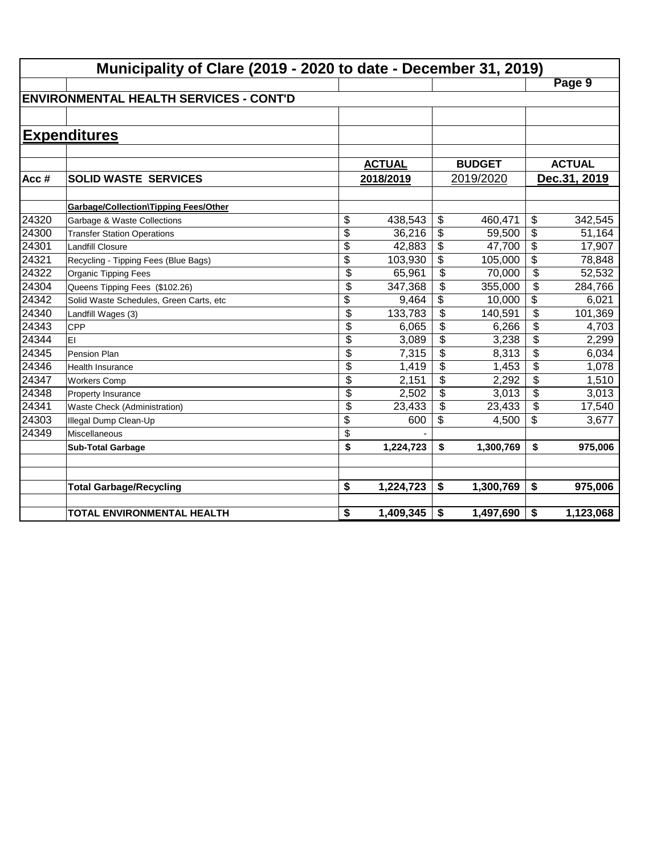|       | Municipality of Clare (2019 - 2020 to date - December 31, 2019) |                 |               |                          |               |                          |               |  |  |  |
|-------|-----------------------------------------------------------------|-----------------|---------------|--------------------------|---------------|--------------------------|---------------|--|--|--|
|       |                                                                 |                 |               |                          |               |                          | Page 9        |  |  |  |
|       | <b>IENVIRONMENTAL HEALTH SERVICES - CONT'D</b>                  |                 |               |                          |               |                          |               |  |  |  |
|       |                                                                 |                 |               |                          |               |                          |               |  |  |  |
|       | <b>Expenditures</b>                                             |                 |               |                          |               |                          |               |  |  |  |
|       |                                                                 |                 |               |                          |               |                          |               |  |  |  |
|       |                                                                 |                 | <b>ACTUAL</b> |                          | <b>BUDGET</b> |                          | <b>ACTUAL</b> |  |  |  |
| Acc#  | <b>SOLID WASTE SERVICES</b>                                     |                 | 2018/2019     |                          | 2019/2020     |                          | Dec.31, 2019  |  |  |  |
|       |                                                                 |                 |               |                          |               |                          |               |  |  |  |
|       | <b>Garbage/Collection\Tipping Fees/Other</b>                    |                 |               |                          |               |                          |               |  |  |  |
| 24320 | Garbage & Waste Collections                                     | \$              | 438,543       | \$                       | 460,471       | \$                       | 342,545       |  |  |  |
| 24300 | <b>Transfer Station Operations</b>                              | \$              | 36,216        | \$                       | 59,500        | $\overline{\$}$          | 51,164        |  |  |  |
| 24301 | <b>Landfill Closure</b>                                         | \$              | 42,883        | \$                       | 47,700        | \$                       | 17,907        |  |  |  |
| 24321 | Recycling - Tipping Fees (Blue Bags)                            | $\overline{\$}$ | 103,930       | \$                       | 105,000       | $\overline{\$}$          | 78,848        |  |  |  |
| 24322 | Organic Tipping Fees                                            | \$              | 65,961        | $\overline{\mathcal{L}}$ | 70,000        | $\overline{\mathcal{L}}$ | 52,532        |  |  |  |
| 24304 | Queens Tipping Fees (\$102.26)                                  | $\overline{\$}$ | 347,368       | $\overline{\mathcal{L}}$ | 355,000       | $\overline{\mathcal{L}}$ | 284,766       |  |  |  |
| 24342 | Solid Waste Schedules, Green Carts, etc                         | \$              | 9,464         | \$                       | 10,000        | $\overline{\mathcal{L}}$ | 6,021         |  |  |  |
| 24340 | Landfill Wages (3)                                              | $\overline{\$}$ | 133,783       | \$                       | 140,591       | \$                       | 101,369       |  |  |  |
| 24343 | <b>CPP</b>                                                      | \$              | 6,065         | \$                       | 6,266         | \$                       | 4,703         |  |  |  |
| 24344 | EI                                                              | \$              | 3,089         | \$                       | 3,238         | \$                       | 2,299         |  |  |  |
| 24345 | Pension Plan                                                    | \$              | 7,315         | \$                       | 8,313         | \$                       | 6,034         |  |  |  |
| 24346 | <b>Health Insurance</b>                                         | \$              | 1,419         | \$                       | 1,453         | \$                       | 1,078         |  |  |  |
| 24347 | <b>Workers Comp</b>                                             | \$              | 2,151         | \$                       | 2,292         | \$                       | 1,510         |  |  |  |
| 24348 | Property Insurance                                              | \$              | 2,502         | \$                       | 3,013         | \$                       | 3,013         |  |  |  |
| 24341 | Waste Check (Administration)                                    | \$              | 23,433        | \$                       | 23,433        | \$                       | 17,540        |  |  |  |
| 24303 | Illegal Dump Clean-Up                                           | \$              | 600           | \$                       | 4,500         | \$                       | 3,677         |  |  |  |
| 24349 | Miscellaneous                                                   | \$              |               |                          |               |                          |               |  |  |  |
|       | <b>Sub-Total Garbage</b>                                        | \$              | 1,224,723     | \$                       | 1,300,769     | \$                       | 975,006       |  |  |  |
|       |                                                                 |                 |               |                          |               |                          |               |  |  |  |
|       |                                                                 |                 |               |                          |               |                          |               |  |  |  |
|       | <b>Total Garbage/Recycling</b>                                  | \$              | 1,224,723     | \$                       | 1,300,769     | \$                       | 975,006       |  |  |  |
|       | TOTAL ENVIRONMENTAL HEALTH                                      | \$              | 1,409,345     | \$                       | 1,497,690     | \$                       | 1,123,068     |  |  |  |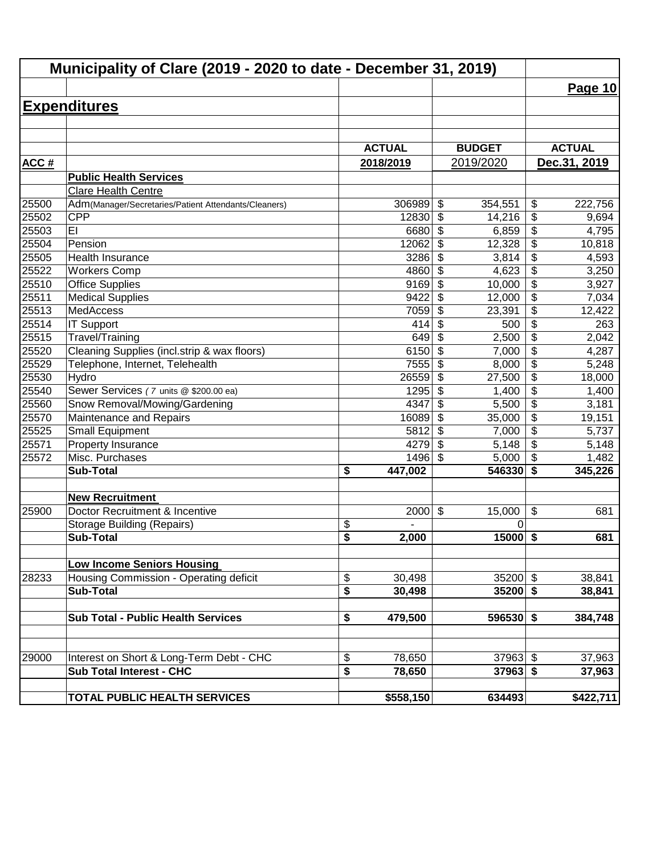| Municipality of Clare (2019 - 2020 to date - December 31, 2019) |                                                            |                                                |                                      |                                           |  |  |
|-----------------------------------------------------------------|------------------------------------------------------------|------------------------------------------------|--------------------------------------|-------------------------------------------|--|--|
|                                                                 |                                                            |                                                |                                      | Page 10                                   |  |  |
|                                                                 | <b>Expenditures</b>                                        |                                                |                                      |                                           |  |  |
|                                                                 |                                                            |                                                |                                      |                                           |  |  |
|                                                                 |                                                            |                                                |                                      |                                           |  |  |
|                                                                 |                                                            | <b>ACTUAL</b>                                  | <b>BUDGET</b>                        | <b>ACTUAL</b>                             |  |  |
| <b>ACC#</b>                                                     |                                                            | 2018/2019                                      | 2019/2020                            | Dec.31, 2019                              |  |  |
|                                                                 | <b>Public Health Services</b>                              |                                                |                                      |                                           |  |  |
|                                                                 | Clare Health Centre                                        |                                                |                                      |                                           |  |  |
| 25500                                                           | Adm(Manager/Secretaries/Patient Attendants/Cleaners)       | 306989                                         | $\boldsymbol{\mathsf{S}}$<br>354,551 | \$<br>222,756                             |  |  |
| 25502                                                           | <b>CPP</b>                                                 | 12830                                          | $\boldsymbol{\mathsf{S}}$<br>14,216  | \$<br>9,694                               |  |  |
| 25503                                                           | EI                                                         | 6680                                           | $\boldsymbol{\mathsf{S}}$<br>6,859   | \$<br>4,795                               |  |  |
| 25504                                                           | Pension                                                    | 12062                                          | $\boldsymbol{\mathsf{S}}$<br>12,328  | \$<br>10,818                              |  |  |
| 25505                                                           | Health Insurance                                           | 3286                                           | $\boldsymbol{\mathsf{S}}$<br>3,814   | $\overline{\boldsymbol{\theta}}$<br>4,593 |  |  |
| 25522                                                           | <b>Workers Comp</b>                                        | 4860                                           | $\overline{\mathcal{S}}$<br>4,623    | $\overline{\$}$<br>3,250                  |  |  |
| 25510                                                           | <b>Office Supplies</b>                                     | 9169                                           | \$<br>10,000                         | $\overline{\$}$<br>3,927                  |  |  |
| 25511                                                           | <b>Medical Supplies</b>                                    | 9422                                           | $\overline{\mathcal{S}}$<br>12,000   | $\overline{\$}$<br>7,034                  |  |  |
| 25513                                                           | MedAccess                                                  | 7059                                           | $\boldsymbol{\mathsf{S}}$<br>23,391  | $\overline{\$}$<br>12,422                 |  |  |
| 25514                                                           | <b>IT Support</b>                                          | 414                                            | $\boldsymbol{\mathsf{S}}$<br>500     | $\overline{\$}$<br>263                    |  |  |
| 25515                                                           | Travel/Training                                            | 649                                            | $\boldsymbol{\mathsf{S}}$<br>2,500   | $\overline{\$}$<br>2,042                  |  |  |
| 25520                                                           | Cleaning Supplies (incl.strip & wax floors)                | 6150                                           | \$<br>7,000                          | $\overline{\$}$<br>4,287                  |  |  |
| 25529                                                           | Telephone, Internet, Telehealth                            | 7555                                           | \$<br>8,000                          | $\overline{\$}$<br>5,248                  |  |  |
| 25530                                                           | Hydro                                                      | 26559                                          | \$<br>27,500                         | \$<br>18,000                              |  |  |
| 25540                                                           | Sewer Services (7 units @ \$200.00 ea)                     | 1295                                           | $\boldsymbol{\mathsf{S}}$<br>1,400   | $\overline{\mathcal{L}}$<br>1,400         |  |  |
| 25560                                                           | Snow Removal/Mowing/Gardening                              | 4347                                           | $\boldsymbol{\mathsf{S}}$<br>5,500   | $\overline{\mathcal{L}}$<br>3,181         |  |  |
| 25570                                                           | Maintenance and Repairs                                    | 16089                                          | $\boldsymbol{\mathsf{S}}$<br>35,000  | $\overline{\mathcal{L}}$<br>19,151        |  |  |
| 25525                                                           | <b>Small Equipment</b>                                     | 5812                                           | $\boldsymbol{\mathsf{S}}$<br>7,000   | \$<br>5,737                               |  |  |
| 25571                                                           | Property Insurance                                         | 4279                                           | $\boldsymbol{\mathsf{S}}$<br>5,148   | \$<br>5,148                               |  |  |
| 25572                                                           | Misc. Purchases                                            | 1496                                           | $\boldsymbol{\mathsf{S}}$<br>5,000   | \$<br>1,482                               |  |  |
|                                                                 | <b>Sub-Total</b>                                           | \$<br>447,002                                  | 546330                               | $\overline{\boldsymbol{s}}$<br>345,226    |  |  |
|                                                                 | <b>New Recruitment</b>                                     |                                                |                                      |                                           |  |  |
| 25900                                                           | Doctor Recruitment & Incentive                             | 2000                                           | $\boldsymbol{\mathsf{S}}$<br>15,000  | \$<br>681                                 |  |  |
|                                                                 | <b>Storage Building (Repairs)</b>                          | \$                                             | 0                                    |                                           |  |  |
|                                                                 | <b>Sub-Total</b>                                           | $\overline{\mathbf{s}}$<br>2,000               | $15000$ \$                           | 681                                       |  |  |
|                                                                 |                                                            |                                                |                                      |                                           |  |  |
|                                                                 | <b>Low Income Seniors Housing</b>                          |                                                |                                      |                                           |  |  |
| 28233                                                           | Housing Commission - Operating deficit<br><b>Sub-Total</b> | \$<br>30,498<br>\$                             | $35200$ \$<br>$35200$ \$             | 38,841                                    |  |  |
|                                                                 |                                                            | 30,498                                         |                                      | 38,841                                    |  |  |
|                                                                 | <b>Sub Total - Public Health Services</b>                  | 479,500<br>\$                                  | $596530$ \$                          | 384,748                                   |  |  |
|                                                                 |                                                            |                                                |                                      |                                           |  |  |
| 29000                                                           | Interest on Short & Long-Term Debt - CHC                   | \$<br>78,650                                   | $37963$ \$                           | 37,963                                    |  |  |
|                                                                 | <b>Sub Total Interest - CHC</b>                            | $\overline{\boldsymbol{\mathsf{s}}}$<br>78,650 | $37963$ \$                           | 37,963                                    |  |  |
|                                                                 |                                                            |                                                |                                      |                                           |  |  |
|                                                                 | <b>TOTAL PUBLIC HEALTH SERVICES</b>                        | \$558,150                                      | 634493                               | \$422,711                                 |  |  |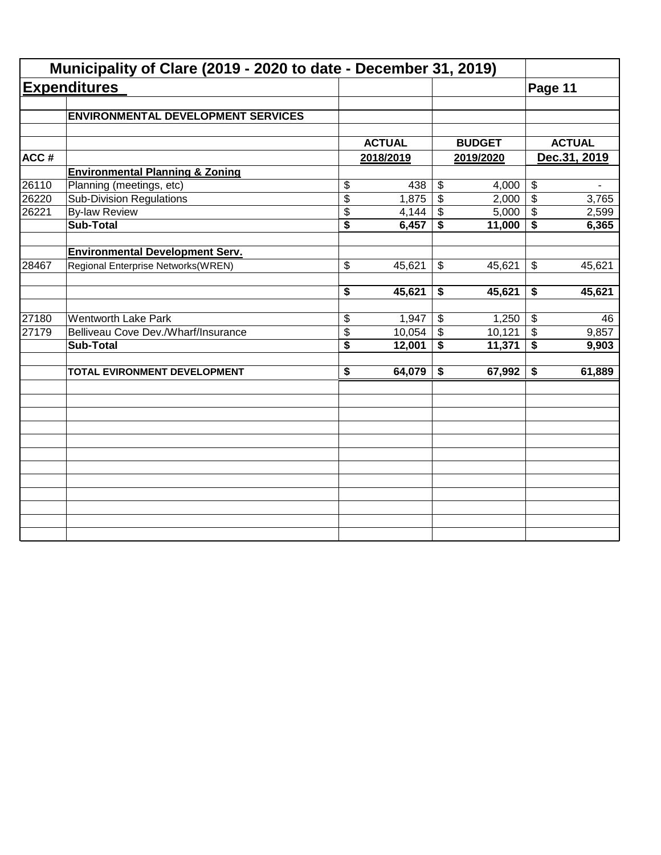|       | Municipality of Clare (2019 - 2020 to date - December 31, 2019) |                                      |               |                 |               |                            |               |
|-------|-----------------------------------------------------------------|--------------------------------------|---------------|-----------------|---------------|----------------------------|---------------|
|       | <b>Expenditures</b>                                             |                                      |               |                 |               | Page 11                    |               |
|       | <b>ENVIRONMENTAL DEVELOPMENT SERVICES</b>                       |                                      |               |                 |               |                            |               |
|       |                                                                 |                                      | <b>ACTUAL</b> |                 | <b>BUDGET</b> |                            | <b>ACTUAL</b> |
| ACC#  |                                                                 |                                      | 2018/2019     |                 | 2019/2020     |                            | Dec.31, 2019  |
|       | <b>Environmental Planning &amp; Zoning</b>                      |                                      |               |                 |               |                            |               |
| 26110 | Planning (meetings, etc)                                        | \$                                   | 438           | \$              | 4,000         | $\boldsymbol{\theta}$      |               |
| 26220 | <b>Sub-Division Regulations</b>                                 | $\overline{\$}$                      | 1,875         | $\overline{\$}$ | 2,000         | $\boldsymbol{\mathsf{S}}$  | 3,765         |
| 26221 | <b>By-law Review</b>                                            | \$                                   | 4,144         | \$              | 5,000         | $\boldsymbol{\mathcal{F}}$ | 2,599         |
|       | <b>Sub-Total</b>                                                | $\overline{\$}$                      | 6,457         | \$              | 11,000        | \$                         | 6,365         |
|       | <b>Environmental Development Serv.</b>                          |                                      |               |                 |               |                            |               |
| 28467 | Regional Enterprise Networks(WREN)                              | \$                                   | 45,621        | \$              | 45,621        | \$                         | 45,621        |
|       |                                                                 | \$                                   | 45,621        | \$              | 45,621        | \$                         | 45,621        |
| 27180 | <b>Wentworth Lake Park</b>                                      | \$                                   | 1,947         | \$              | 1,250         | $\sqrt[6]{3}$              | 46            |
| 27179 | Belliveau Cove Dev./Wharf/Insurance                             | \$                                   | 10,054        | $\mathfrak{S}$  | 10,121        | $\sqrt[6]{\frac{1}{2}}$    | 9,857         |
|       | <b>Sub-Total</b>                                                | $\overline{\boldsymbol{\mathsf{s}}}$ | 12,001        | \$              | 11,371        | $\overline{\bullet}$       | 9,903         |
|       | TOTAL EVIRONMENT DEVELOPMENT                                    | $\overline{\boldsymbol{\mathsf{s}}}$ | 64,079        | \$              | 67,992        | \$                         | 61,889        |
|       |                                                                 |                                      |               |                 |               |                            |               |
|       |                                                                 |                                      |               |                 |               |                            |               |
|       |                                                                 |                                      |               |                 |               |                            |               |
|       |                                                                 |                                      |               |                 |               |                            |               |
|       |                                                                 |                                      |               |                 |               |                            |               |
|       |                                                                 |                                      |               |                 |               |                            |               |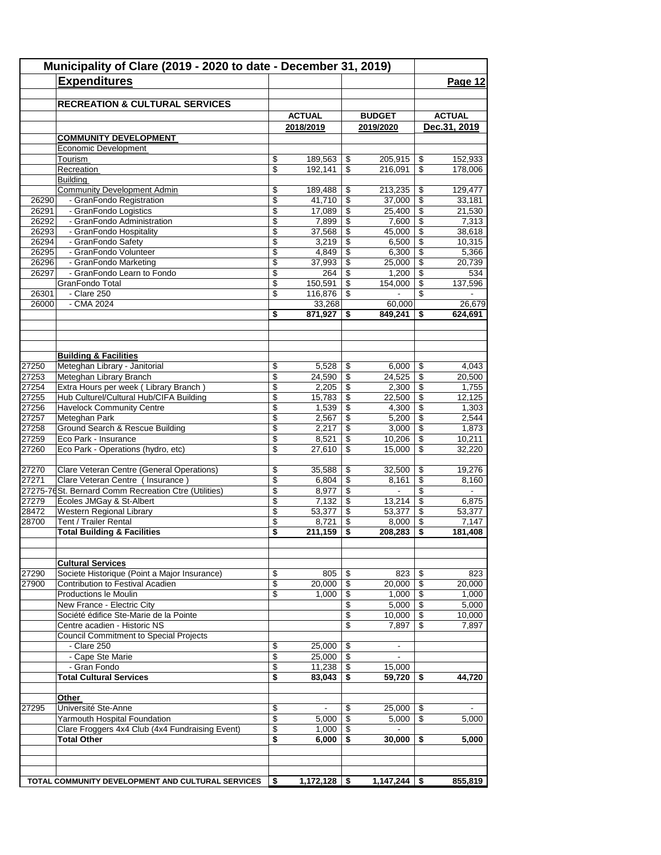|                | Municipality of Clare (2019 - 2020 to date - December 31, 2019)<br><b>Expenditures</b> |                 |                   |                 |                          |                                      | Page 12        |
|----------------|----------------------------------------------------------------------------------------|-----------------|-------------------|-----------------|--------------------------|--------------------------------------|----------------|
|                | <b>RECREATION &amp; CULTURAL SERVICES</b>                                              |                 | <b>ACTUAL</b>     |                 | <b>BUDGET</b>            |                                      | <b>ACTUAL</b>  |
|                |                                                                                        |                 | 2018/2019         |                 | 2019/2020                |                                      | Dec.31, 2019   |
|                | <b>COMMUNITY DEVELOPMENT</b>                                                           |                 |                   |                 |                          |                                      |                |
|                | Economic Development                                                                   |                 |                   |                 |                          |                                      |                |
|                | Tourism                                                                                | \$              | 189,563           | \$              | 205,915                  | \$                                   | 152,933        |
|                | Recreation                                                                             | \$              | 192,141           | \$              | 216,091                  | \$                                   | 178,006        |
|                | <b>Building</b>                                                                        |                 |                   |                 |                          |                                      |                |
|                | <b>Community Development Admin</b>                                                     | \$              | 189.488           | \$              | 213,235                  | \$                                   | 129,477        |
| 26290          | - GranFondo Registration                                                               | \$              | 41,710            | $\overline{\$}$ | 37,000                   | $\overline{\mathcal{S}}$             | 33,181         |
| 26291          | - GranFondo Logistics                                                                  | \$              | 17,089            | \$              | 25,400                   | \$                                   | 21,530         |
| 26292          | - GranFondo Administration                                                             | \$              | 7,899             | \$              | 7,600                    | \$                                   | 7,313          |
| 26293          | - GranFondo Hospitality                                                                | \$              | 37,568            | \$              | 45,000                   | \$                                   | 38,618         |
| 26294          | - GranFondo Safety                                                                     | \$              | 3,219             | \$              | 6,500                    | \$                                   | 10,315         |
| 26295          | - GranFondo Volunteer                                                                  | \$              | 4,849             | \$              | 6,300                    | \$                                   | 5,366          |
| 26296          | - GranFondo Marketing                                                                  | \$              | 37,993            | \$              | 25,000                   | \$                                   | 20,739         |
| 26297          | - GranFondo Learn to Fondo                                                             | \$              | 264               | \$              | 1,200                    | \$                                   | 534            |
|                | GranFondo Total                                                                        | \$              | 150,591           | \$              | 154,000                  | \$                                   | 137,596        |
| 26301<br>26000 | - Clare 250<br>- CMA 2024                                                              | \$              | 116,876           | \$              |                          | \$                                   | 26,679         |
|                |                                                                                        | \$              | 33,268<br>871,927 | \$              | 60,000<br>849,241        | \$                                   | 624,691        |
|                |                                                                                        |                 |                   |                 |                          |                                      |                |
|                | <b>Building &amp; Facilities</b>                                                       |                 |                   |                 |                          |                                      |                |
| 27250          | Meteghan Library - Janitorial                                                          | \$              | 5,528             | \$              | 6,000                    | \$                                   | 4,043          |
| 27253          | Meteghan Library Branch                                                                | \$              | 24,590            | \$              | 24,525                   | \$                                   | 20,500         |
| 27254          | Extra Hours per week (Library Branch)                                                  | \$              | 2,205             | \$              | 2,300                    | \$                                   | 1,755          |
| 27255          | Hub Culturel/Cultural Hub/CIFA Building                                                | \$              | 15,783            | \$              | 22,500                   | \$                                   | 12,125         |
| 27256          | <b>Havelock Community Centre</b>                                                       | \$              | 1,539             | \$              | 4,300                    | \$                                   | 1,303          |
| 27257          | Meteghan Park                                                                          | \$              | 2,567             | \$              | 5,200                    | \$                                   | 2,544          |
| 27258          | Ground Search & Rescue Building                                                        | \$              | 2,217             | \$              | 3,000                    | \$                                   | 1,873          |
| 27259          | Eco Park - Insurance                                                                   | \$              | 8,521             | \$              | 10,206                   | \$                                   | 10,211         |
| 27260          | Eco Park - Operations (hydro, etc)                                                     | \$              | 27,610            | \$              | 15,000                   | \$                                   | 32,220         |
| 27270          | Clare Veteran Centre (General Operations)                                              | \$              | 35,588            | \$              | 32,500                   | \$                                   | 19,276         |
| 27271          | Clare Veteran Centre (Insurance)                                                       | \$              | 6,804             | \$              | 8,161                    | \$                                   | 8.160          |
|                | 27275-76 St. Bernard Comm Recreation Ctre (Utilities)                                  | \$              | 8,977             | $\sqrt{2}$      | $\blacksquare$           | \$                                   | $\blacksquare$ |
| 27279          | Écoles JMGay & St-Albert                                                               | \$              | 7,132             | \$              | 13,214                   | $\overline{\boldsymbol{\mathsf{s}}}$ | 6,875          |
| 28472          | Western Regional Library                                                               | \$              | 53,377            | \$              | 53,377                   | $\overline{\mathbf{3}}$              | 53.377         |
| 28700          | Tent / Trailer Rental                                                                  | \$              | 8,721             | \$              | 8,000                    | \$                                   | 7,147          |
|                | <b>Total Building &amp; Facilities</b>                                                 | \$              | 211,159           | \$              | 208,283                  | \$                                   | 181,408        |
|                |                                                                                        |                 |                   |                 |                          |                                      |                |
|                | <b>Cultural Services</b>                                                               |                 |                   |                 |                          |                                      |                |
| 27290          | Societe Historique (Point a Major Insurance)                                           | \$              | 805               | \$              | 823                      | -\$                                  | 823            |
| 27900          | Contribution to Festival Acadien                                                       | \$              | 20,000            | \$              | 20,000                   | \$                                   | 20,000         |
|                | Productions le Moulin                                                                  | \$              | 1,000             | \$              | 1,000                    | \$                                   | 1,000          |
|                | New France - Electric City                                                             |                 |                   | \$              | 5,000                    | \$                                   | 5,000          |
|                | Société édifice Ste-Marie de la Pointe                                                 |                 |                   | \$              | 10,000                   | \$                                   | 10.000         |
|                | Centre acadien - Historic NS                                                           |                 |                   | \$              | 7,897                    | \$                                   | 7,897          |
|                | <b>Council Commitment to Special Projects</b>                                          |                 |                   |                 |                          |                                      |                |
|                | - Clare 250                                                                            | \$              | 25,000            | \$              | $\overline{\phantom{a}}$ |                                      |                |
|                | - Cape Ste Marie                                                                       | \$              | 25,000            | \$              |                          |                                      |                |
|                | - Gran Fondo                                                                           | \$              | 11,238            | \$              | 15,000                   |                                      |                |
|                | <b>Total Cultural Services</b>                                                         | \$              | 83,043            | \$              | 59,720                   | \$                                   | 44,720         |
|                | Other                                                                                  |                 |                   |                 |                          |                                      |                |
| 27295          | Université Ste-Anne                                                                    | \$              |                   | \$              | 25,000                   | \$                                   |                |
|                | Yarmouth Hospital Foundation                                                           | $\overline{\$}$ | 5,000             | \$              | 5,000                    | \$                                   | 5,000          |
|                | Clare Froggers 4x4 Club (4x4 Fundraising Event)<br><b>Total Other</b>                  | \$<br>\$        | 1,000<br>6,000    | \$<br>\$        | $\blacksquare$<br>30,000 | \$                                   | 5,000          |
|                |                                                                                        |                 |                   |                 |                          |                                      |                |
|                |                                                                                        |                 |                   |                 |                          |                                      |                |
|                | TOTAL COMMUNITY DEVELOPMENT AND CULTURAL SERVICES                                      | S.              | $1,172,128$   \$  |                 | 1,147,244                | \$                                   | 855,819        |